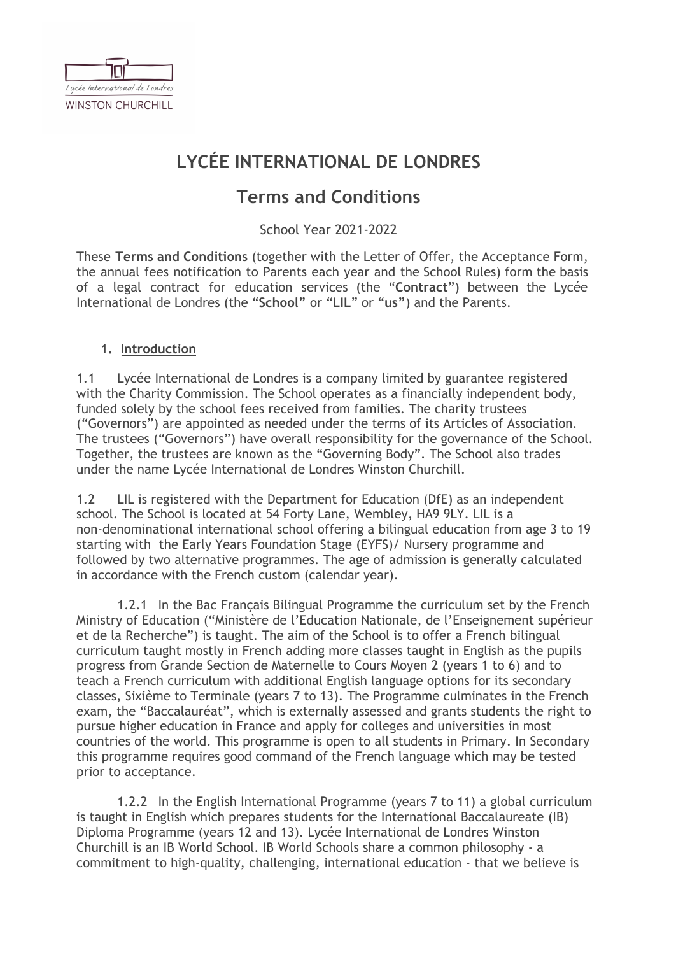

# **LYCÉE INTERNATIONAL DE LONDRES**

# **Terms and Conditions**

School Year 2021-2022

These **Terms and Conditions** (together with the Letter of Offer, the Acceptance Form, the annual fees notification to Parents each year and the School Rules) form the basis of a legal contract for education services (the "**Contract**") between the Lycée International de Londres (the "**School"** or "**LIL**" or "**us"**) and the Parents.

### **1. Introduction**

1.1 Lycée International de Londres is a company limited by guarantee registered with the Charity Commission. The School operates as a financially independent body, funded solely by the school fees received from families. The charity trustees ("Governors") are appointed as needed under the terms of its Articles of Association. The trustees ("Governors") have overall responsibility for the governance of the School. Together, the trustees are known as the "Governing Body". The School also trades under the name Lycée International de Londres Winston Churchill.

1.2 LIL is registered with the Department for Education (DfE) as an independent school. The School is located at 54 Forty Lane, Wembley, HA9 9LY. LIL is a non-denominational international school offering a bilingual education from age 3 to 19 starting with the Early Years Foundation Stage (EYFS)/ Nursery programme and followed by two alternative programmes. The age of admission is generally calculated in accordance with the French custom (calendar year).

1.2.1 In the Bac Français Bilingual Programme the curriculum set by the French Ministry of Education ("Ministère de l'Education Nationale, de l'Enseignement supérieur et de la Recherche") is taught. The aim of the School is to offer a French bilingual curriculum taught mostly in French adding more classes taught in English as the pupils progress from Grande Section de Maternelle to Cours Moyen 2 (years 1 to 6) and to teach a French curriculum with additional English language options for its secondary classes, Sixième to Terminale (years 7 to 13). The Programme culminates in the French exam, the "Baccalauréat", which is externally assessed and grants students the right to pursue higher education in France and apply for colleges and universities in most countries of the world. This programme is open to all students in Primary. In Secondary this programme requires good command of the French language which may be tested prior to acceptance.

1.2.2 In the English International Programme (years 7 to 11) a global curriculum is taught in English which prepares students for the International Baccalaureate (IB) Diploma Programme (years 12 and 13). Lycée International de Londres Winston Churchill is an IB World School. IB World Schools share a common philosophy - a commitment to high-quality, challenging, international education - that we believe is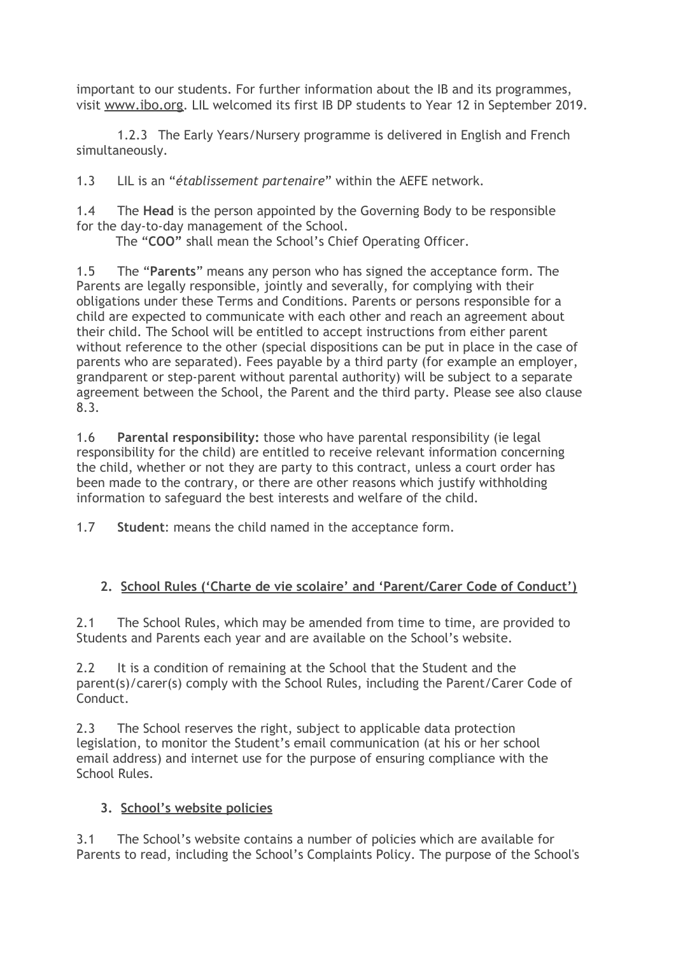important to our students. For further information about the IB and its programmes, visit [www.ibo.org](http://www.ibo.org/). LIL welcomed its first IB DP students to Year 12 in September 2019.

1.2.3 The Early Years/Nursery programme is delivered in English and French simultaneously.

1.3 LIL is an "*établissement partenaire*" within the AEFE network.

1.4 The **Head** is the person appointed by the Governing Body to be responsible for the day-to-day management of the School.

The "**COO"** shall mean the School's Chief Operating Officer.

1.5 The "**Parents**" means any person who has signed the acceptance form. The Parents are legally responsible, jointly and severally, for complying with their obligations under these Terms and Conditions. Parents or persons responsible for a child are expected to communicate with each other and reach an agreement about their child. The School will be entitled to accept instructions from either parent without reference to the other (special dispositions can be put in place in the case of parents who are separated). Fees payable by a third party (for example an employer, grandparent or step-parent without parental authority) will be subject to a separate agreement between the School, the Parent and the third party. Please see also clause 8.3.

1.6 **Parental responsibility:** those who have parental responsibility (ie legal responsibility for the child) are entitled to receive relevant information concerning the child, whether or not they are party to this contract, unless a court order has been made to the contrary, or there are other reasons which justify withholding information to safeguard the best interests and welfare of the child.

1.7 **Student**: means the child named in the acceptance form.

# **2. School Rules ('Charte de vie scolaire' and 'Parent/Carer Code of Conduct')**

2.1 The School Rules, which may be amended from time to time, are provided to Students and Parents each year and are available on the School's website.

2.2 It is a condition of remaining at the School that the Student and the parent(s)/carer(s) comply with the School Rules, including the Parent/Carer Code of Conduct.

2.3 The School reserves the right, subject to applicable data protection legislation, to monitor the Student's email communication (at his or her school email address) and internet use for the purpose of ensuring compliance with the School Rules.

# **3. School's website policies**

3.1 The School's website contains a number of policies which are available for Parents to read, including the School's Complaints Policy. The purpose of the School's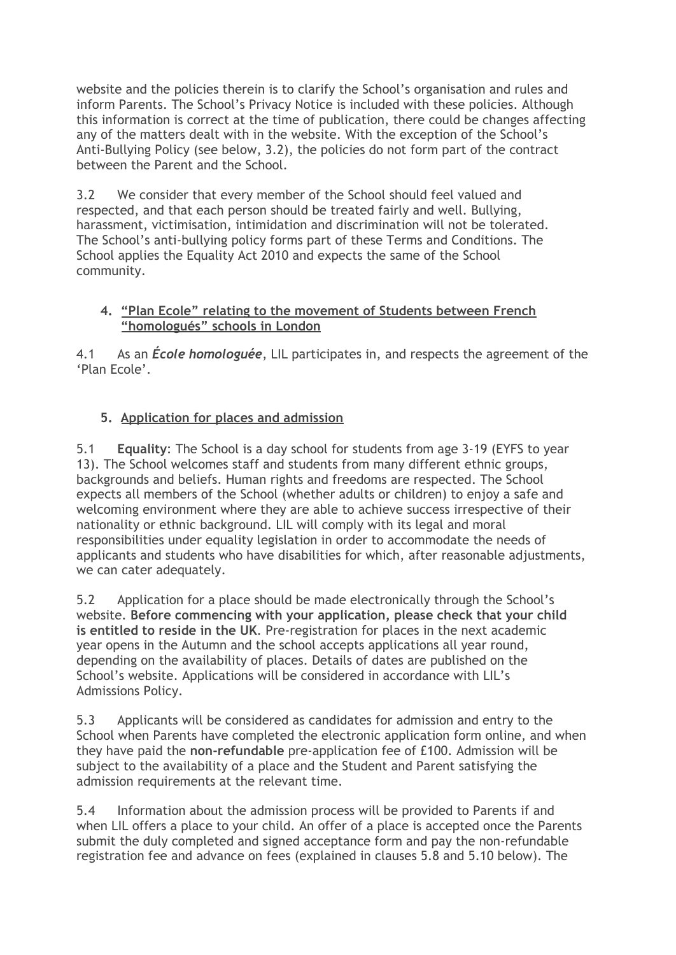website and the policies therein is to clarify the School's organisation and rules and inform Parents. The School's Privacy Notice is included with these policies. Although this information is correct at the time of publication, there could be changes affecting any of the matters dealt with in the website. With the exception of the School's Anti-Bullying Policy (see below, 3.2), the policies do not form part of the contract between the Parent and the School.

3.2 We consider that every member of the School should feel valued and respected, and that each person should be treated fairly and well. Bullying, harassment, victimisation, intimidation and discrimination will not be tolerated. The School's anti-bullying policy forms part of these Terms and Conditions. The School applies the Equality Act 2010 and expects the same of the School community.

## **4. "Plan Ecole" relating to the movement of Students between French "homologués" schools in London**

4.1 As an *École homologuée*, LIL participates in, and respects the agreement of the 'Plan Ecole'.

# **5. Application for places and admission**

5.1 **Equality**: The School is a day school for students from age 3-19 (EYFS to year 13). The School welcomes staff and students from many different ethnic groups, backgrounds and beliefs. Human rights and freedoms are respected. The School expects all members of the School (whether adults or children) to enjoy a safe and welcoming environment where they are able to achieve success irrespective of their nationality or ethnic background. LIL will comply with its legal and moral responsibilities under equality legislation in order to accommodate the needs of applicants and students who have disabilities for which, after reasonable adjustments, we can cater adequately.

5.2 Application for a place should be made electronically through the School's website. **Before commencing with your application, please check that your child is entitled to reside in the UK**. Pre-registration for places in the next academic year opens in the Autumn and the school accepts applications all year round, depending on the availability of places. Details of dates are published on the School's website. Applications will be considered in accordance with LIL's Admissions Policy.

5.3 Applicants will be considered as candidates for admission and entry to the School when Parents have completed the electronic application form online, and when they have paid the **non-refundable** pre-application fee of £100. Admission will be subject to the availability of a place and the Student and Parent satisfying the admission requirements at the relevant time.

5.4 Information about the admission process will be provided to Parents if and when LIL offers a place to your child. An offer of a place is accepted once the Parents submit the duly completed and signed acceptance form and pay the non-refundable registration fee and advance on fees (explained in clauses 5.8 and 5.10 below). The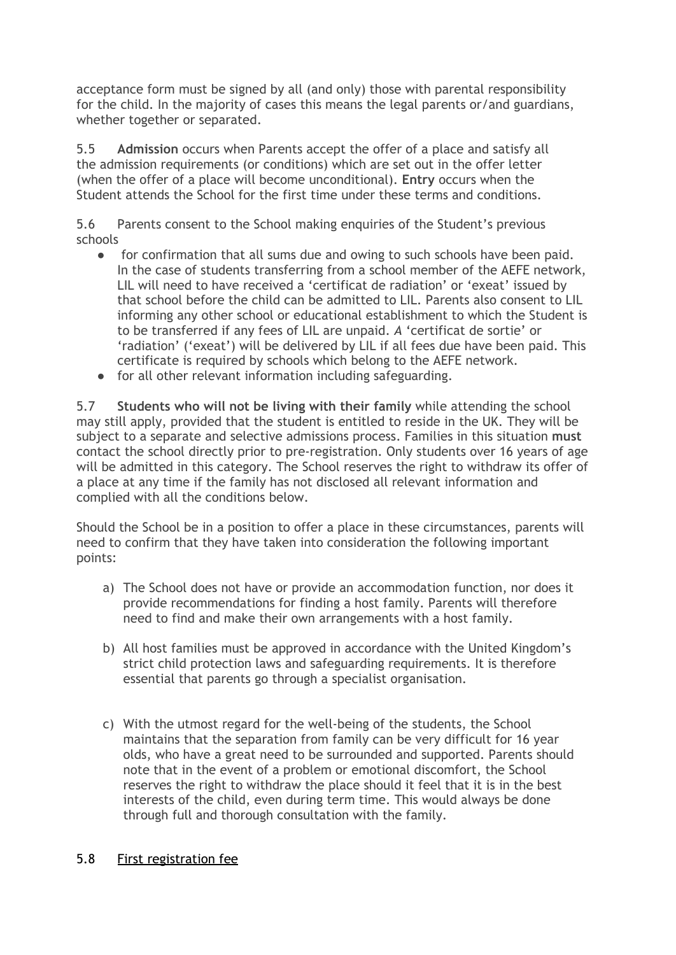acceptance form must be signed by all (and only) those with parental responsibility for the child. In the majority of cases this means the legal parents or/and guardians, whether together or separated.

5.5 **Admission** occurs when Parents accept the offer of a place and satisfy all the admission requirements (or conditions) which are set out in the offer letter (when the offer of a place will become unconditional). **Entry** occurs when the Student attends the School for the first time under these terms and conditions.

5.6 Parents consent to the School making enquiries of the Student's previous schools

- for confirmation that all sums due and owing to such schools have been paid. In the case of students transferring from a school member of the AEFE network, LIL will need to have received a 'certificat de radiation' or 'exeat' issued by that school before the child can be admitted to LIL. Parents also consent to LIL informing any other school or educational establishment to which the Student is to be transferred if any fees of LIL are unpaid. *A* 'certificat de sortie' or 'radiation' ('exeat') will be delivered by LIL if all fees due have been paid. This certificate is required by schools which belong to the AEFE network.
- for all other relevant information including safeguarding.

5.7 **Students who will not be living with their family** while attending the school may still apply, provided that the student is entitled to reside in the UK. They will be subject to a separate and selective admissions process. Families in this situation **must** contact the school directly prior to pre-registration. Only students over 16 years of age will be admitted in this category. The School reserves the right to withdraw its offer of a place at any time if the family has not disclosed all relevant information and complied with all the conditions below.

Should the School be in a position to offer a place in these circumstances, parents will need to confirm that they have taken into consideration the following important points:

- a) The School does not have or provide an accommodation function, nor does it provide recommendations for finding a host family. Parents will therefore need to find and make their own arrangements with a host family.
- b) All host families must be approved in accordance with the United Kingdom's strict child protection laws and safeguarding requirements. It is therefore essential that parents go through a specialist organisation.
- c) With the utmost regard for the well-being of the students, the School maintains that the separation from family can be very difficult for 16 year olds, who have a great need to be surrounded and supported. Parents should note that in the event of a problem or emotional discomfort, the School reserves the right to withdraw the place should it feel that it is in the best interests of the child, even during term time. This would always be done through full and thorough consultation with the family.

### 5.8 First registration fee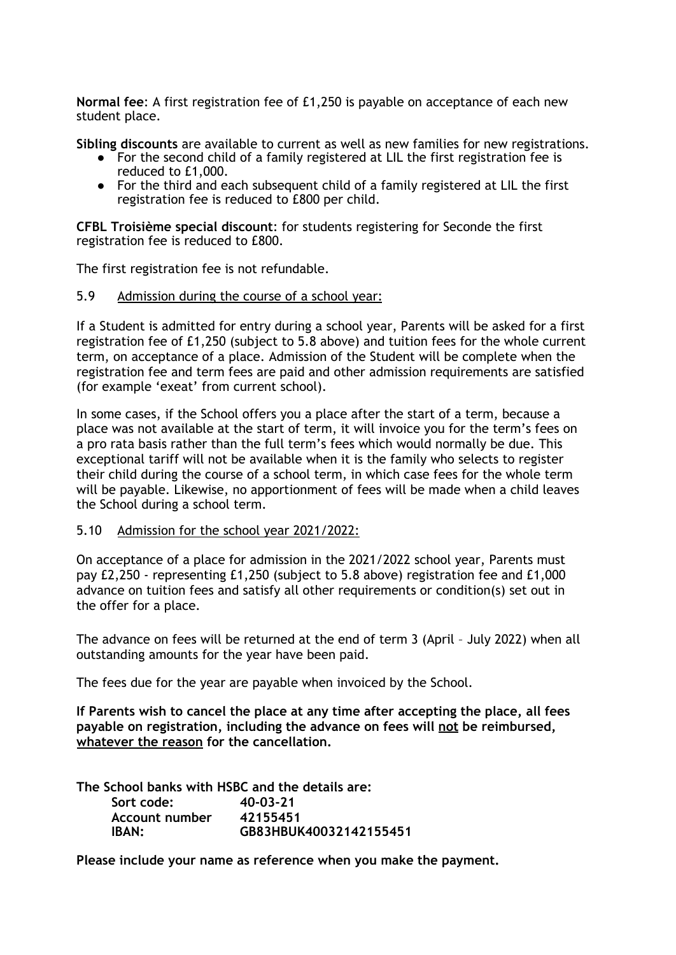**Normal fee**: A first registration fee of £1,250 is payable on acceptance of each new student place.

**Sibling discounts** are available to current as well as new families for new registrations.

- For the second child of a family registered at LIL the first registration fee is reduced to £1,000.
- For the third and each subsequent child of a family registered at LIL the first registration fee is reduced to £800 per child.

**CFBL Troisième special discount**: for students registering for Seconde the first registration fee is reduced to £800.

The first registration fee is not refundable.

#### 5.9 Admission during the course of a school year:

If a Student is admitted for entry during a school year, Parents will be asked for a first registration fee of £1,250 (subject to 5.8 above) and tuition fees for the whole current term, on acceptance of a place. Admission of the Student will be complete when the registration fee and term fees are paid and other admission requirements are satisfied (for example 'exeat' from current school).

In some cases, if the School offers you a place after the start of a term, because a place was not available at the start of term, it will invoice you for the term's fees on a pro rata basis rather than the full term's fees which would normally be due. This exceptional tariff will not be available when it is the family who selects to register their child during the course of a school term, in which case fees for the whole term will be payable. Likewise, no apportionment of fees will be made when a child leaves the School during a school term.

#### 5.10 Admission for the school year 2021/2022:

On acceptance of a place for admission in the 2021/2022 school year, Parents must pay £2,250 - representing £1,250 (subject to 5.8 above) registration fee and £1,000 advance on tuition fees and satisfy all other requirements or condition(s) set out in the offer for a place.

The advance on fees will be returned at the end of term 3 (April – July 2022) when all outstanding amounts for the year have been paid.

The fees due for the year are payable when invoiced by the School.

**If Parents wish to cancel the place at any time after accepting the place, all fees payable on registration, including the advance on fees will not be reimbursed, whatever the reason for the cancellation.**

**The School banks with HSBC and the details are: Sort code: 40-03-21 Account number 42155451 IBAN: GB83HBUK40032142155451**

**Please include your name as reference when you make the payment.**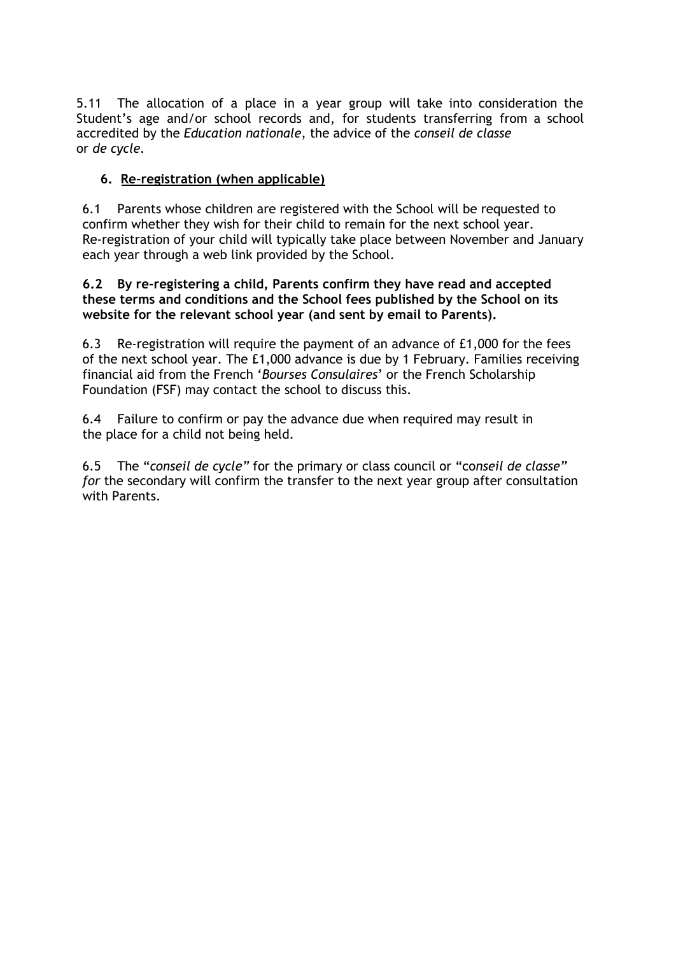5.11 The allocation of a place in a year group will take into consideration the Student's age and/or school records and, for students transferring from a school accredited by the *Education nationale*, the advice of the *conseil de classe* or *de cycle.*

# **6. Re-registration (when applicable)**

6.1 Parents whose children are registered with the School will be requested to confirm whether they wish for their child to remain for the next school year. Re-registration of your child will typically take place between November and January each year through a web link provided by the School.

#### **6.2 By re-registering a child, Parents confirm they have read and accepted these terms and conditions and the School fees published by the School on its website for the relevant school year (and sent by email to Parents).**

6.3 Re-registration will require the payment of an advance of £1,000 for the fees of the next school year. The £1,000 advance is due by 1 February. Families receiving financial aid from the French '*Bourses Consulaires*' or the French Scholarship Foundation (FSF) may contact the school to discuss this.

6.4 Failure to confirm or pay the advance due when required may result in the place for a child not being held.

6.5 The "*conseil de cycle"* for the primary or class council or "co*nseil de classe" for* the secondary will confirm the transfer to the next year group after consultation with Parents.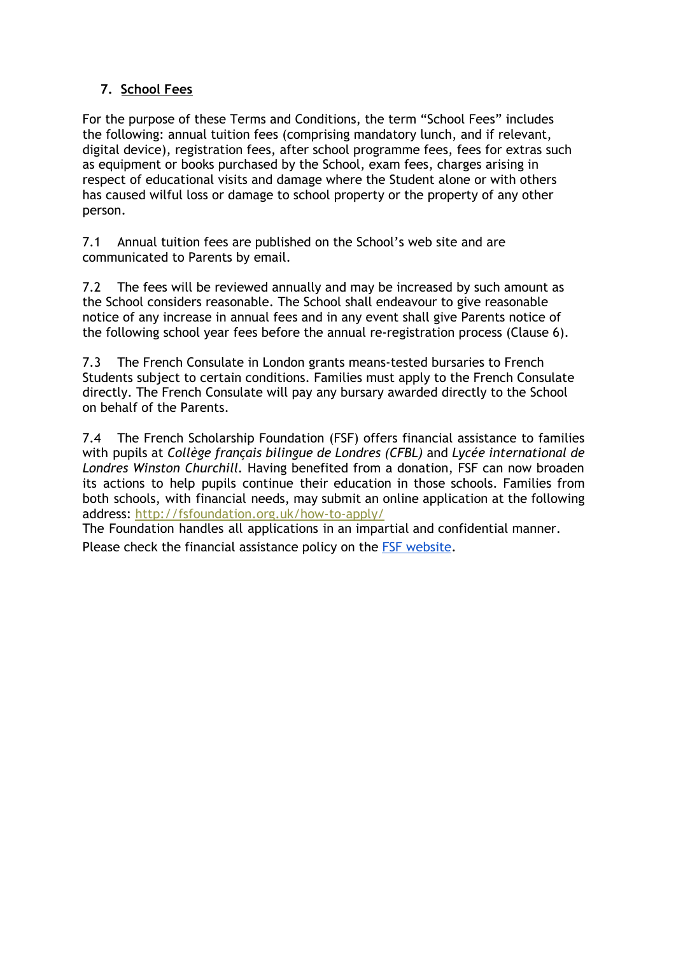# **7. School Fees**

For the purpose of these Terms and Conditions, the term "School Fees" includes the following: annual tuition fees (comprising mandatory lunch, and if relevant, digital device), registration fees, after school programme fees, fees for extras such as equipment or books purchased by the School, exam fees, charges arising in respect of educational visits and damage where the Student alone or with others has caused wilful loss or damage to school property or the property of any other person.

7.1 Annual tuition fees are published on the School's web site and are communicated to Parents by email.

7.2 The fees will be reviewed annually and may be increased by such amount as the School considers reasonable. The School shall endeavour to give reasonable notice of any increase in annual fees and in any event shall give Parents notice of the following school year fees before the annual re-registration process (Clause 6).

7.3 The French Consulate in London grants means-tested bursaries to French Students subject to certain conditions. Families must apply to the French Consulate directly. The French Consulate will pay any bursary awarded directly to the School on behalf of the Parents.

7.4 The French Scholarship Foundation (FSF) offers financial assistance to families with pupils at *Collège français bilingue de Londres (CFBL)* and *Lycée international de Londres Winston Churchill.* Having benefited from a donation, FSF can now broaden its actions to help pupils continue their education in those schools. Families from both schools, with financial needs, may submit an online application at the following address: <http://fsfoundation.org.uk/how-to-apply/>

The Foundation handles all applications in an impartial and confidential manner. Please check the financial assistance policy on the FSF [website](http://fsfoundation.org.uk/how-to-apply/).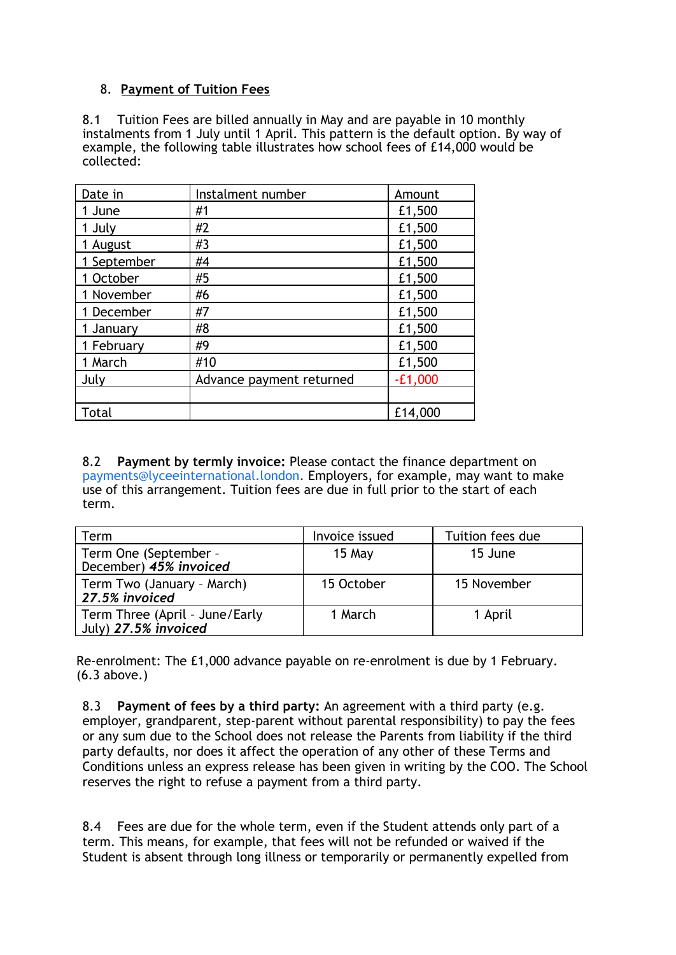## 8. **Payment of Tuition Fees**

8.1 Tuition Fees are billed annually in May and are payable in 10 monthly instalments from 1 July until 1 April. This pattern is the default option. By way of example, the following table illustrates how school fees of £14,000 would be collected:

| Date in     | Instalment number        | Amount    |
|-------------|--------------------------|-----------|
| 1 June      | #1                       | £1,500    |
| 1 July      | #2                       | £1,500    |
| 1 August    | #3                       | £1,500    |
| 1 September | #4                       | £1,500    |
| 1 October   | #5                       | £1,500    |
| 1 November  | #6                       | £1,500    |
| 1 December  | #7                       | £1,500    |
| 1 January   | #8                       | £1,500    |
| 1 February  | #9                       | £1,500    |
| 1 March     | #10                      | £1,500    |
| July        | Advance payment returned | $-E1,000$ |
|             |                          |           |
| Total       |                          | £14,000   |

8.2 **Payment by termly invoice:** Please contact the finance department on payments@lyceeinternational.london. Employers, for example, may want to make use of this arrangement. Tuition fees are due in full prior to the start of each term.

| Term                                                   | Invoice issued | Tuition fees due |
|--------------------------------------------------------|----------------|------------------|
| Term One (September -<br>December) 45% invoiced        | 15 May         | 15 June          |
| Term Two (January - March)<br>27.5% invoiced           | 15 October     | 15 November      |
| Term Three (April - June/Early<br>July) 27.5% invoiced | 1 March        | 1 April          |

Re-enrolment: The £1,000 advance payable on re-enrolment is due by 1 February. (6.3 above.)

8.3 **Payment of fees by a third party:** An agreement with a third party (e.g. employer, grandparent, step-parent without parental responsibility) to pay the fees or any sum due to the School does not release the Parents from liability if the third party defaults, nor does it affect the operation of any other of these Terms and Conditions unless an express release has been given in writing by the COO. The School reserves the right to refuse a payment from a third party.

8.4 Fees are due for the whole term, even if the Student attends only part of a term. This means, for example, that fees will not be refunded or waived if the Student is absent through long illness or temporarily or permanently expelled from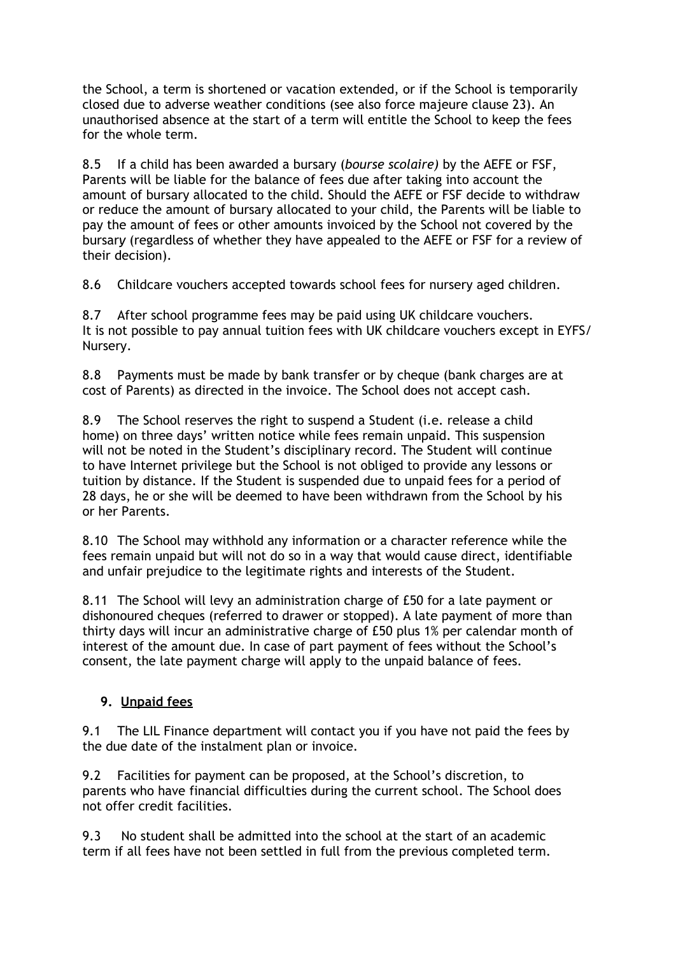the School, a term is shortened or vacation extended, or if the School is temporarily closed due to adverse weather conditions (see also force majeure clause 23). An unauthorised absence at the start of a term will entitle the School to keep the fees for the whole term.

8.5 If a child has been awarded a bursary (*bourse scolaire)* by the AEFE or FSF, Parents will be liable for the balance of fees due after taking into account the amount of bursary allocated to the child. Should the AEFE or FSF decide to withdraw or reduce the amount of bursary allocated to your child, the Parents will be liable to pay the amount of fees or other amounts invoiced by the School not covered by the bursar*y* (regardless of whether they have appealed to the AEFE or FSF for a review of their decision).

8.6 Childcare vouchers accepted towards school fees for nursery aged children.

8.7 After school programme fees may be paid using UK childcare vouchers. It is not possible to pay annual tuition fees with UK childcare vouchers except in EYFS/ Nursery.

8.8 Payments must be made by bank transfer or by cheque (bank charges are at cost of Parents) as directed in the invoice. The School does not accept cash.

8.9 The School reserves the right to suspend a Student (i.e. release a child home) on three days' written notice while fees remain unpaid. This suspension will not be noted in the Student's disciplinary record. The Student will continue to have Internet privilege but the School is not obliged to provide any lessons or tuition by distance. If the Student is suspended due to unpaid fees for a period of 28 days, he or she will be deemed to have been withdrawn from the School by his or her Parents.

8.10 The School may withhold any information or a character reference while the fees remain unpaid but will not do so in a way that would cause direct, identifiable and unfair prejudice to the legitimate rights and interests of the Student.

8.11 The School will levy an administration charge of £50 for a late payment or dishonoured cheques (referred to drawer or stopped). A late payment of more than thirty days will incur an administrative charge of £50 plus 1% per calendar month of interest of the amount due. In case of part payment of fees without the School's consent, the late payment charge will apply to the unpaid balance of fees.

### **9. Unpaid fees**

9.1 The LIL Finance department will contact you if you have not paid the fees by the due date of the instalment plan or invoice.

9.2 Facilities for payment can be proposed, at the School's discretion, to parents who have financial difficulties during the current school. The School does not offer credit facilities.

9.3 No student shall be admitted into the school at the start of an academic term if all fees have not been settled in full from the previous completed term.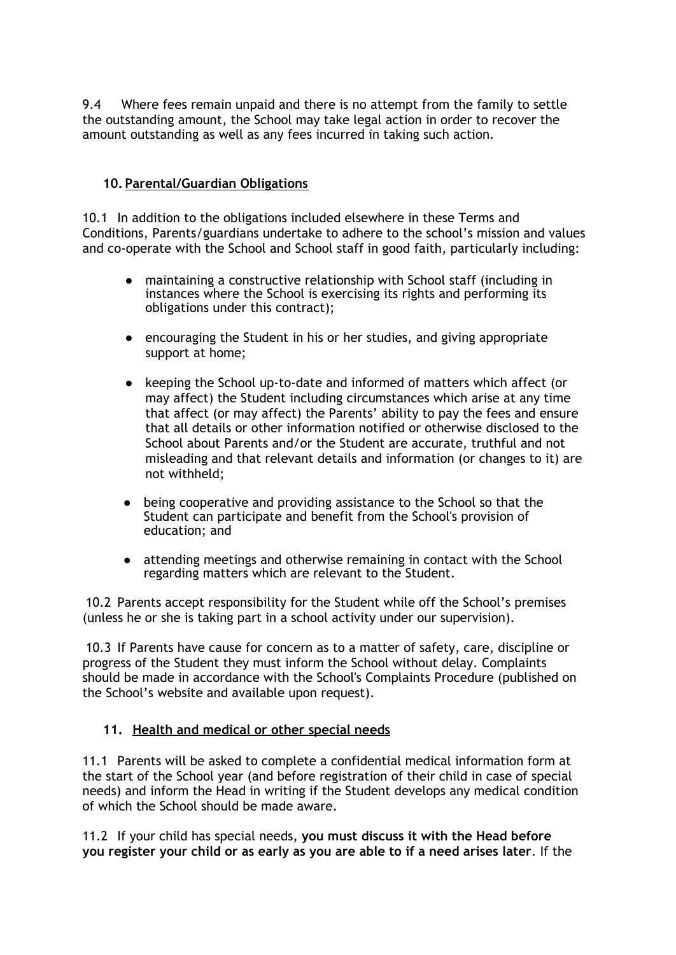9.4 Where fees remain unpaid and there is no attempt from the family to settle the outstanding amount, the School may take legal action in order to recover the amount outstanding as well as any fees incurred in taking such action.

## **10. Parental/Guardian Obligations**

10.1 In addition to the obligations included elsewhere in these Terms and Conditions, Parents/guardians undertake to adhere to the school's mission and values and co-operate with the School and School staff in good faith, particularly including:

- maintaining a constructive relationship with School staff (including in instances where the School is exercising its rights and performing its obligations under this contract);
- encouraging the Student in his or her studies, and giving appropriate support at home;
- keeping the School up-to-date and informed of matters which affect (or may affect) the Student including circumstances which arise at any time that affect (or may affect) the Parents' ability to pay the fees and ensure that all details or other information notified or otherwise disclosed to the School about Parents and/or the Student are accurate, truthful and not misleading and that relevant details and information (or changes to it) are not withheld;
- being cooperative and providing assistance to the School so that the Student can participate and benefit from the School's provision of education; and
- attending meetings and otherwise remaining in contact with the School regarding matters which are relevant to the Student.

10.2 Parents accept responsibility for the Student while off the School's premises (unless he or she is taking part in a school activity under our supervision).

10.3 If Parents have cause for concern as to a matter of safety, care, discipline or progress of the Student they must inform the School without delay. Complaints should be made in accordance with the School's Complaints Procedure (published on the School's website and available upon request).

### **11. Health and medical or other special needs**

11.1 Parents will be asked to complete a confidential medical information form at the start of the School year (and before registration of their child in case of special needs) and inform the Head in writing if the Student develops any medical condition of which the School should be made aware.

11.2 If your child has special needs, **you must discuss it with the Head before you register your child or as early as you are able to if a need arises later**. If the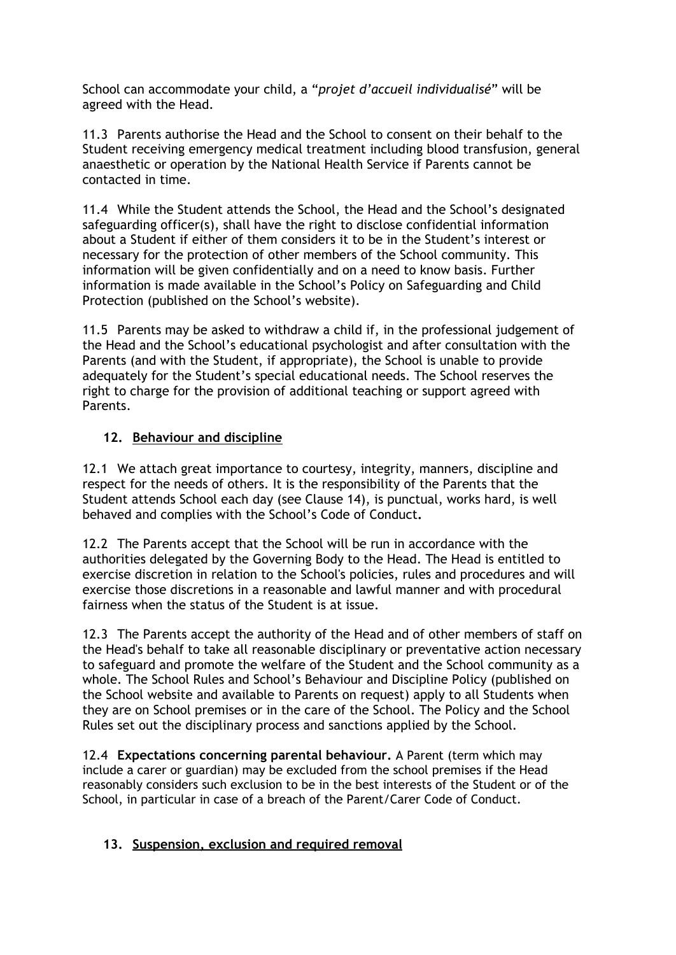School can accommodate your child, a "*projet d'accueil individualisé*" will be agreed with the Head.

11.3 Parents authorise the Head and the School to consent on their behalf to the Student receiving emergency medical treatment including blood transfusion, general anaesthetic or operation by the National Health Service if Parents cannot be contacted in time.

11.4 While the Student attends the School, the Head and the School's designated safeguarding officer(s), shall have the right to disclose confidential information about a Student if either of them considers it to be in the Student's interest or necessary for the protection of other members of the School community. This information will be given confidentially and on a need to know basis. Further information is made available in the School's Policy on Safeguarding and Child Protection (published on the School's website).

11.5 Parents may be asked to withdraw a child if, in the professional judgement of the Head and the School's educational psychologist and after consultation with the Parents (and with the Student, if appropriate), the School is unable to provide adequately for the Student's special educational needs. The School reserves the right to charge for the provision of additional teaching or support agreed with Parents.

## **12. Behaviour and discipline**

12.1 We attach great importance to courtesy, integrity, manners, discipline and respect for the needs of others. It is the responsibility of the Parents that the Student attends School each day (see Clause 14), is punctual, works hard, is well behaved and complies with the School's Code of Conduct**.**

12.2 The Parents accept that the School will be run in accordance with the authorities delegated by the Governing Body to the Head. The Head is entitled to exercise discretion in relation to the School's policies, rules and procedures and will exercise those discretions in a reasonable and lawful manner and with procedural fairness when the status of the Student is at issue.

12.3 The Parents accept the authority of the Head and of other members of staff on the Head's behalf to take all reasonable disciplinary or preventative action necessary to safeguard and promote the welfare of the Student and the School community as a whole. The School Rules and School's Behaviour and Discipline Policy (published on the School website and available to Parents on request) apply to all Students when they are on School premises or in the care of the School. The Policy and the School Rules set out the disciplinary process and sanctions applied by the School.

12.4 **Expectations concerning parental behaviour.** A Parent (term which may include a carer or guardian) may be excluded from the school premises if the Head reasonably considers such exclusion to be in the best interests of the Student or of the School, in particular in case of a breach of the Parent/Carer Code of Conduct.

### **13. Suspension, exclusion and required removal**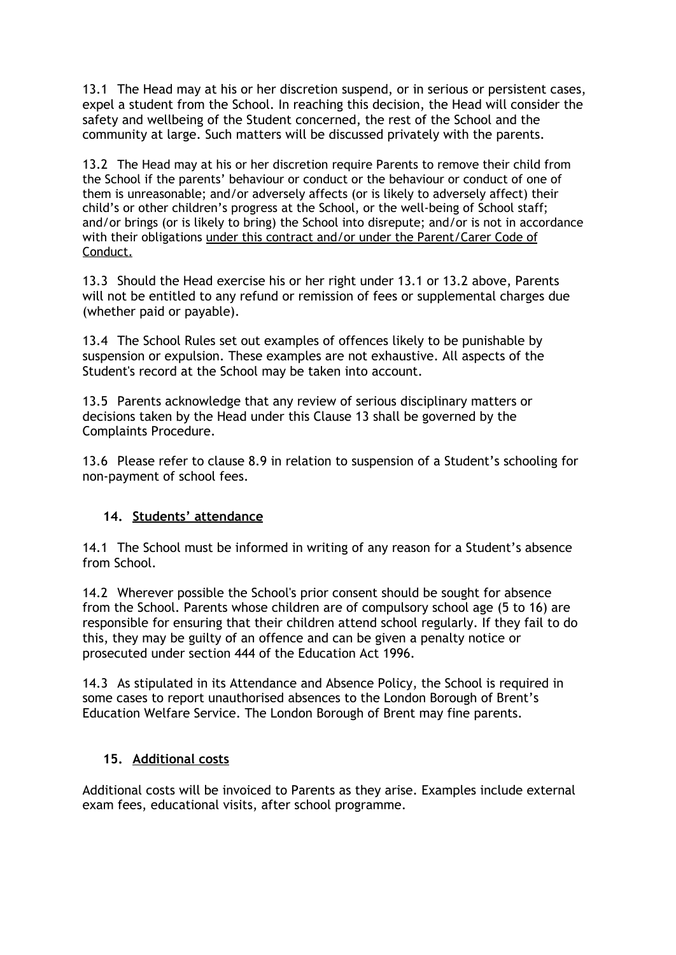13.1 The Head may at his or her discretion suspend, or in serious or persistent cases, expel a student from the School. In reaching this decision, the Head will consider the safety and wellbeing of the Student concerned, the rest of the School and the community at large. Such matters will be discussed privately with the parents.

13.2 The Head may at his or her discretion require Parents to remove their child from the School if the parents' behaviour or conduct or the behaviour or conduct of one of them is unreasonable; and/or adversely affects (or is likely to adversely affect) their child's or other children's progress at the School, or the well-being of School staff; and/or brings (or is likely to bring) the School into disrepute; and/or is not in accordance with their obligations under this contract and/or under the Parent/Carer Code of Conduct.

13.3 Should the Head exercise his or her right under 13.1 or 13.2 above, Parents will not be entitled to any refund or remission of fees or supplemental charges due (whether paid or payable).

13.4 The School Rules set out examples of offences likely to be punishable by suspension or expulsion. These examples are not exhaustive. All aspects of the Student's record at the School may be taken into account.

13.5 Parents acknowledge that any review of serious disciplinary matters or decisions taken by the Head under this Clause 13 shall be governed by the Complaints Procedure.

13.6 Please refer to clause 8.9 in relation to suspension of a Student's schooling for non-payment of school fees.

# **14. Students' attendance**

14.1 The School must be informed in writing of any reason for a Student's absence from School.

14.2 Wherever possible the School's prior consent should be sought for absence from the School. Parents whose children are of compulsory school age (5 to 16) are responsible for ensuring that their children attend school regularly. If they fail to do this, they may be guilty of an offence and can be given a penalty notice or prosecuted under section 444 of the Education Act 1996.

14.3 As stipulated in its Attendance and Absence Policy, the School is required in some cases to report unauthorised absences to the London Borough of Brent's Education Welfare Service. The London Borough of Brent may fine parents.

### **15. Additional costs**

Additional costs will be invoiced to Parents as they arise. Examples include external exam fees, educational visits, after school programme.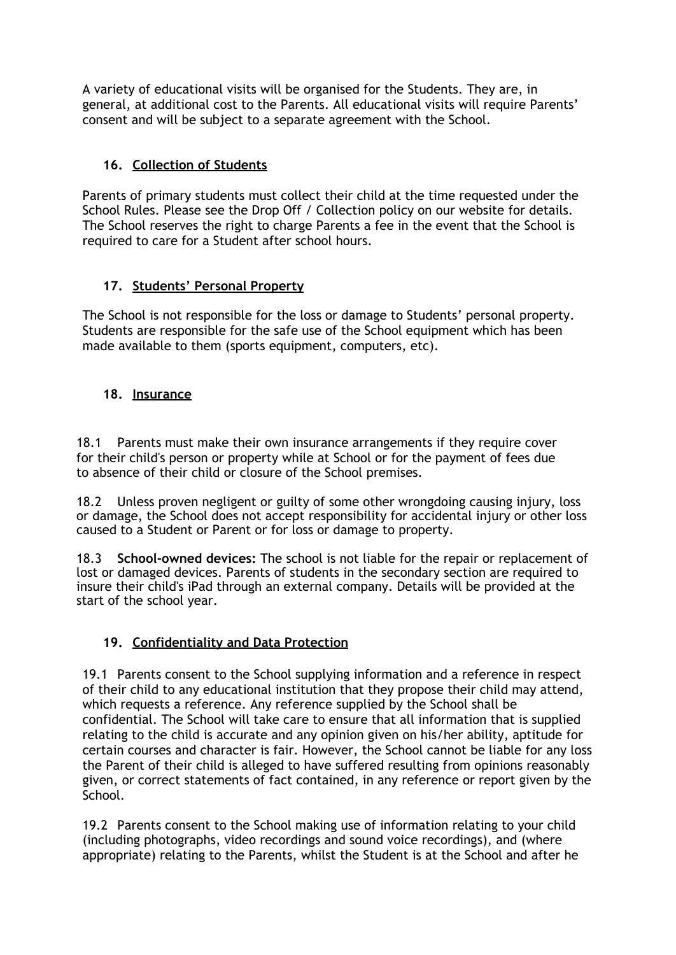A variety of educational visits will be organised for the Students. They are, in general, at additional cost to the Parents. All educational visits will require Parents' consent and will be subject to a separate agreement with the School.

# **16. Collection of Students**

Parents of primary students must collect their child at the time requested under the School Rules. Please see the Drop Off / Collection policy on our website for details. The School reserves the right to charge Parents a fee in the event that the School is required to care for a Student after school hours.

# **17. Students' Personal Property**

The School is not responsible for the loss or damage to Students' personal property. Students are responsible for the safe use of the School equipment which has been made available to them (sports equipment, computers, etc).

# **18. Insurance**

18.1 Parents must make their own insurance arrangements if they require cover for their child's person or property while at School or for the payment of fees due to absence of their child or closure of the School premises.

18.2 Unless proven negligent or guilty of some other wrongdoing causing injury, loss or damage, the School does not accept responsibility for accidental injury or other loss caused to a Student or Parent or for loss or damage to property.

18.3 **School-owned devices:** The school is not liable for the repair or replacement of lost or damaged devices. Parents of students in the secondary section are required to insure their child's iPad through an external company. Details will be provided at the start of the school year.

# **19. Confidentiality and Data Protection**

19.1 Parents consent to the School supplying information and a reference in respect of their child to any educational institution that they propose their child may attend, which requests a reference. Any reference supplied by the School shall be confidential. The School will take care to ensure that all information that is supplied relating to the child is accurate and any opinion given on his/her ability, aptitude for certain courses and character is fair. However, the School cannot be liable for any loss the Parent of their child is alleged to have suffered resulting from opinions reasonably given, or correct statements of fact contained, in any reference or report given by the School.

19.2 Parents consent to the School making use of information relating to your child (including photographs, video recordings and sound voice recordings), and (where appropriate) relating to the Parents, whilst the Student is at the School and after he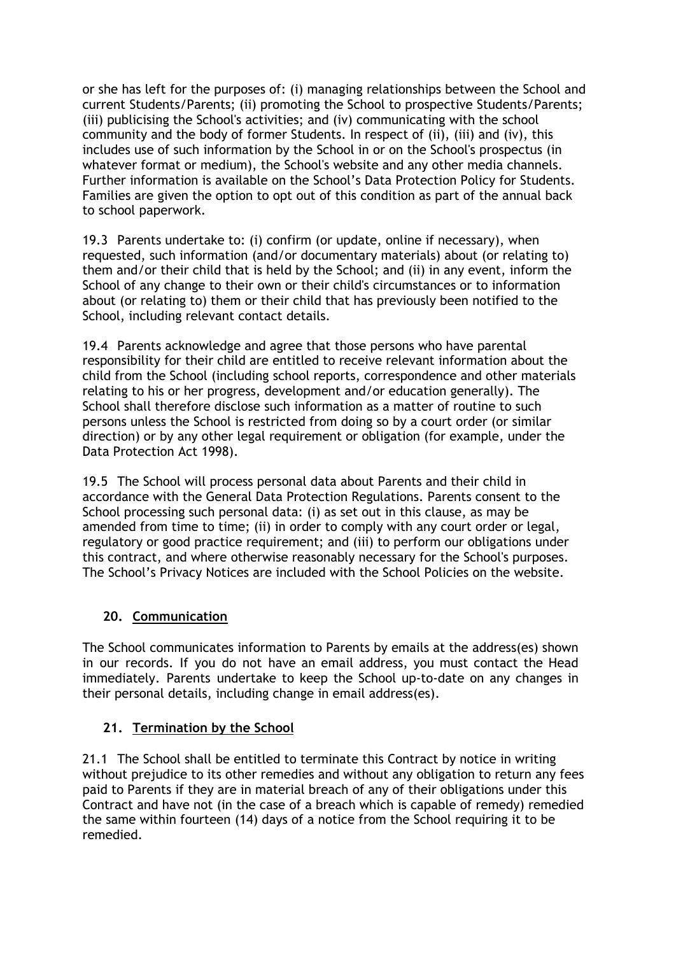or she has left for the purposes of: (i) managing relationships between the School and current Students/Parents; (ii) promoting the School to prospective Students/Parents; (iii) publicising the School's activities; and (iv) communicating with the school community and the body of former Students. In respect of (ii), (iii) and (iv), this includes use of such information by the School in or on the School's prospectus (in whatever format or medium), the School's website and any other media channels. Further information is available on the School's Data Protection Policy for Students. Families are given the option to opt out of this condition as part of the annual back to school paperwork.

19.3 Parents undertake to: (i) confirm (or update, online if necessary), when requested, such information (and/or documentary materials) about (or relating to) them and/or their child that is held by the School; and (ii) in any event, inform the School of any change to their own or their child's circumstances or to information about (or relating to) them or their child that has previously been notified to the School, including relevant contact details.

19.4 Parents acknowledge and agree that those persons who have parental responsibility for their child are entitled to receive relevant information about the child from the School (including school reports, correspondence and other materials relating to his or her progress, development and/or education generally). The School shall therefore disclose such information as a matter of routine to such persons unless the School is restricted from doing so by a court order (or similar direction) or by any other legal requirement or obligation (for example, under the Data Protection Act 1998).

19.5 The School will process personal data about Parents and their child in accordance with the General Data Protection Regulations. Parents consent to the School processing such personal data: (i) as set out in this clause, as may be amended from time to time; (ii) in order to comply with any court order or legal, regulatory or good practice requirement; and (iii) to perform our obligations under this contract, and where otherwise reasonably necessary for the School's purposes. The School's Privacy Notices are included with the School Policies on the website.

### **20. Communication**

The School communicates information to Parents by emails at the address(es) shown in our records. If you do not have an email address, you must contact the Head immediately. Parents undertake to keep the School up-to-date on any changes in their personal details, including change in email address(es).

# **21. Termination by the School**

21.1 The School shall be entitled to terminate this Contract by notice in writing without prejudice to its other remedies and without any obligation to return any fees paid to Parents if they are in material breach of any of their obligations under this Contract and have not (in the case of a breach which is capable of remedy) remedied the same within fourteen (14) days of a notice from the School requiring it to be remedied.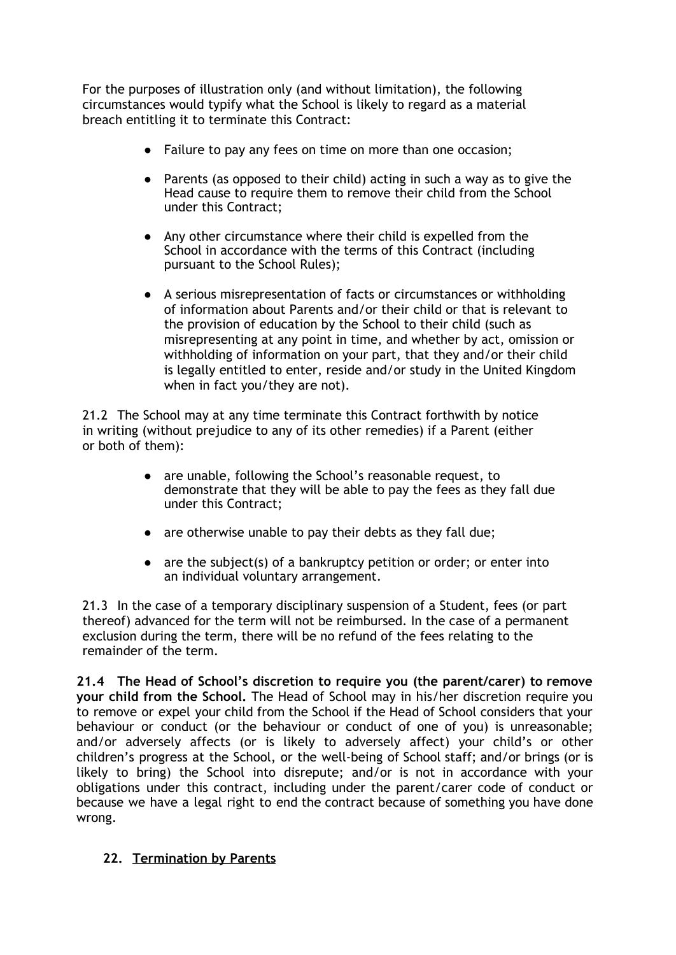For the purposes of illustration only (and without limitation), the following circumstances would typify what the School is likely to regard as a material breach entitling it to terminate this Contract:

- Failure to pay any fees on time on more than one occasion;
- Parents (as opposed to their child) acting in such a way as to give the Head cause to require them to remove their child from the School under this Contract;
- Any other circumstance where their child is expelled from the School in accordance with the terms of this Contract (including pursuant to the School Rules);
- A serious misrepresentation of facts or circumstances or withholding of information about Parents and/or their child or that is relevant to the provision of education by the School to their child (such as misrepresenting at any point in time, and whether by act, omission or withholding of information on your part, that they and/or their child is legally entitled to enter, reside and/or study in the United Kingdom when in fact you/they are not).

21.2 The School may at any time terminate this Contract forthwith by notice in writing (without prejudice to any of its other remedies) if a Parent (either or both of them):

- are unable, following the School's reasonable request, to demonstrate that they will be able to pay the fees as they fall due under this Contract;
- are otherwise unable to pay their debts as they fall due;
- $\bullet$  are the subject(s) of a bankruptcy petition or order; or enter into an individual voluntary arrangement.

21.3 In the case of a temporary disciplinary suspension of a Student, fees (or part thereof) advanced for the term will not be reimbursed. In the case of a permanent exclusion during the term, there will be no refund of the fees relating to the remainder of the term.

**21.4 The Head of School's discretion to require you (the parent/carer) to remove your child from the School.** The Head of School may in his/her discretion require you to remove or expel your child from the School if the Head of School considers that your behaviour or conduct (or the behaviour or conduct of one of you) is unreasonable; and/or adversely affects (or is likely to adversely affect) your child's or other children's progress at the School, or the well-being of School staff; and/or brings (or is likely to bring) the School into disrepute; and/or is not in accordance with your obligations under this contract, including under the parent/carer code of conduct or because we have a legal right to end the contract because of something you have done wrong.

### **22. Termination by Parents**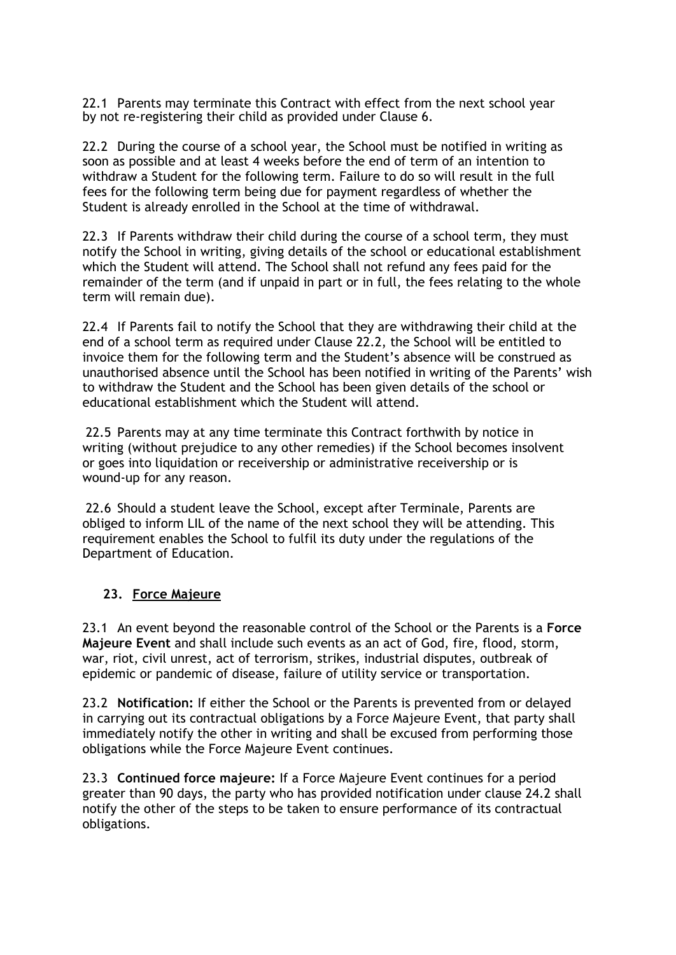22.1 Parents may terminate this Contract with effect from the next school year by not re-registering their child as provided under Clause 6.

22.2 During the course of a school year, the School must be notified in writing as soon as possible and at least 4 weeks before the end of term of an intention to withdraw a Student for the following term. Failure to do so will result in the full fees for the following term being due for payment regardless of whether the Student is already enrolled in the School at the time of withdrawal.

22.3 If Parents withdraw their child during the course of a school term, they must notify the School in writing, giving details of the school or educational establishment which the Student will attend. The School shall not refund any fees paid for the remainder of the term (and if unpaid in part or in full, the fees relating to the whole term will remain due).

22.4 If Parents fail to notify the School that they are withdrawing their child at the end of a school term as required under Clause 22.2, the School will be entitled to invoice them for the following term and the Student's absence will be construed as unauthorised absence until the School has been notified in writing of the Parents' wish to withdraw the Student and the School has been given details of the school or educational establishment which the Student will attend.

22.5 Parents may at any time terminate this Contract forthwith by notice in writing (without prejudice to any other remedies) if the School becomes insolvent or goes into liquidation or receivership or administrative receivership or is wound-up for any reason.

22.6 Should a student leave the School, except after Terminale, Parents are obliged to inform LIL of the name of the next school they will be attending. This requirement enables the School to fulfil its duty under the regulations of the Department of Education.

### **23. Force Majeure**

23.1 An event beyond the reasonable control of the School or the Parents is a **Force Majeure Event** and shall include such events as an act of God, fire, flood, storm, war, riot, civil unrest, act of terrorism, strikes, industrial disputes, outbreak of epidemic or pandemic of disease, failure of utility service or transportation.

23.2 **Notification:** If either the School or the Parents is prevented from or delayed in carrying out its contractual obligations by a Force Majeure Event, that party shall immediately notify the other in writing and shall be excused from performing those obligations while the Force Majeure Event continues.

23.3 **Continued force majeure:** If a Force Majeure Event continues for a period greater than 90 days, the party who has provided notification under clause 24.2 shall notify the other of the steps to be taken to ensure performance of its contractual obligations.